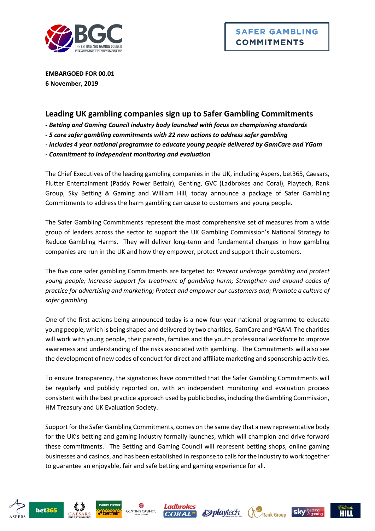

**EMBARGOED FOR 00.01 6 November, 2019**

# **Leading UK gambling companies sign up to Safer Gambling Commitments**

*- Betting and Gaming Council industry body launched with focus on championing standards*

*- 5 core safer gambling commitments with 22 new actions to address safer gambling* 

*- Includes 4 year national programme to educate young people delivered by GamCare and YGam* 

*- Commitment to independent monitoring and evaluation*

The Chief Executives of the leading gambling companies in the UK, including Aspers, bet365, Caesars, Flutter Entertainment (Paddy Power Betfair), Genting, GVC (Ladbrokes and Coral), Playtech, Rank Group, Sky Betting & Gaming and William Hill, today announce a package of Safer Gambling Commitments to address the harm gambling can cause to customers and young people.

The Safer Gambling Commitments represent the most comprehensive set of measures from a wide group of leaders across the sector to support the UK Gambling Commission's National Strategy to Reduce Gambling Harms. They will deliver long-term and fundamental changes in how gambling companies are run in the UK and how they empower, protect and support their customers.

The five core safer gambling Commitments are targeted to: *Prevent underage gambling and protect young people; Increase support for treatment of gambling harm; Strengthen and expand codes of practice for advertising and marketing; Protect and empower our customers and; Promote a culture of safer gambling.*

One of the first actions being announced today is a new four-year national programme to educate young people, which is being shaped and delivered by two charities, GamCare and YGAM. The charities will work with young people, their parents, families and the youth professional workforce to improve awareness and understanding of the risks associated with gambling. The Commitments will also see the development of new codes of conduct for direct and affiliate marketing and sponsorship activities.

To ensure transparency, the signatories have committed that the Safer Gambling Commitments will be regularly and publicly reported on, with an independent monitoring and evaluation process consistent with the best practice approach used by public bodies, including the Gambling Commission, HM Treasury and UK Evaluation Society.

Support for the Safer Gambling Commitments, comes on the same day that a new representative body for the UK's betting and gaming industry formally launches, which will champion and drive forward these commitments. The Betting and Gaming Council will represent betting shops, online gaming businesses and casinos, and has been established in response to calls for the industry to work together to guarantee an enjoyable, fair and safe betting and gaming experience for all.











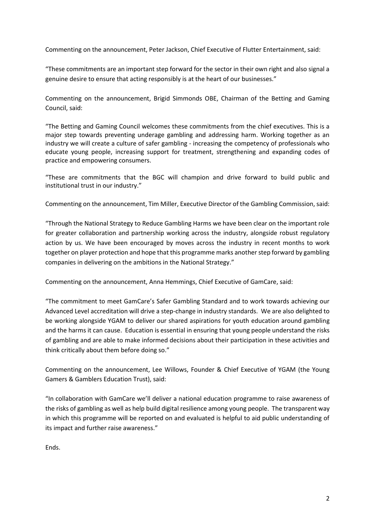Commenting on the announcement, Peter Jackson, Chief Executive of Flutter Entertainment, said:

"These commitments are an important step forward for the sector in their own right and also signal a genuine desire to ensure that acting responsibly is at the heart of our businesses."

Commenting on the announcement, Brigid Simmonds OBE, Chairman of the Betting and Gaming Council, said:

"The Betting and Gaming Council welcomes these commitments from the chief executives. This is a major step towards preventing underage gambling and addressing harm. Working together as an industry we will create a culture of safer gambling - increasing the competency of professionals who educate young people, increasing support for treatment, strengthening and expanding codes of practice and empowering consumers.

"These are commitments that the BGC will champion and drive forward to build public and institutional trust in our industry."

Commenting on the announcement, Tim Miller, Executive Director of the Gambling Commission, said:

"Through the National Strategy to Reduce Gambling Harms we have been clear on the important role for greater collaboration and partnership working across the industry, alongside robust regulatory action by us. We have been encouraged by moves across the industry in recent months to work together on player protection and hope that this programme marks another step forward by gambling companies in delivering on the ambitions in the National Strategy."

Commenting on the announcement, Anna Hemmings, Chief Executive of GamCare, said:

"The commitment to meet GamCare's Safer Gambling Standard and to work towards achieving our Advanced Level accreditation will drive a step-change in industry standards. We are also delighted to be working alongside YGAM to deliver our shared aspirations for youth education around gambling and the harms it can cause. Education is essential in ensuring that young people understand the risks of gambling and are able to make informed decisions about their participation in these activities and think critically about them before doing so."

Commenting on the announcement, Lee Willows, Founder & Chief Executive of YGAM (the Young Gamers & Gamblers Education Trust), said:

"In collaboration with GamCare we'll deliver a national education programme to raise awareness of the risks of gambling as well as help build digital resilience among young people. The transparent way in which this programme will be reported on and evaluated is helpful to aid public understanding of its impact and further raise awareness."

Ends.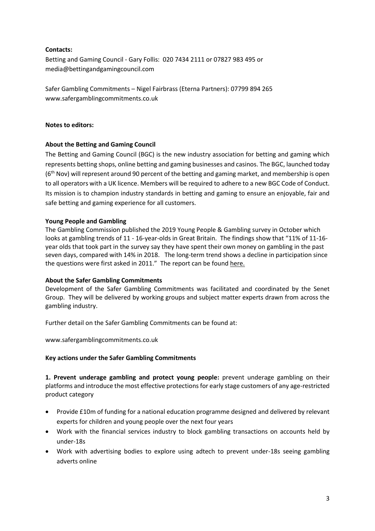### **Contacts:**

Betting and Gaming Council - Gary Follis: 020 7434 2111 or 07827 983 495 or media@bettingandgamingcouncil.com

Safer Gambling Commitments – Nigel Fairbrass (Eterna Partners): 07799 894 265 www.safergamblingcommitments.co.uk

#### **Notes to editors:**

### **About the Betting and Gaming Council**

The Betting and Gaming Council (BGC) is the new industry association for betting and gaming which represents betting shops, online betting and gaming businesses and casinos. The BGC, launched today  $(6<sup>th</sup> Nov)$  will represent around 90 percent of the betting and gaming market, and membership is open to all operators with a UK licence. Members will be required to adhere to a new BGC Code of Conduct. Its mission is to champion industry standards in betting and gaming to ensure an enjoyable, fair and safe betting and gaming experience for all customers.

### **Young People and Gambling**

The Gambling Commission published the 2019 Young People & Gambling survey in October which looks at gambling trends of 11 - 16-year-olds in Great Britain. The findings show that "11% of 11-16year olds that took part in the survey say they have spent their own money on gambling in the past seven days, compared with 14% in 2018. The long-term trend shows a decline in participation since the questions were first asked in 2011." The report can be found [here.](https://www.gamblingcommission.gov.uk/news-action-and-statistics/News/gambling-commission-publishes-the-2019-young-people-and-gambling-report)

### **About the Safer Gambling Commitments**

Development of the Safer Gambling Commitments was facilitated and coordinated by the Senet Group. They will be delivered by working groups and subject matter experts drawn from across the gambling industry.

Further detail on the Safer Gambling Commitments can be found at:

www.safergamblingcommitments.co.uk

## **Key actions under the Safer Gambling Commitments**

**1. Prevent underage gambling and protect young people:** prevent underage gambling on their platforms and introduce the most effective protections for early stage customers of any age-restricted product category

- Provide £10m of funding for a national education programme designed and delivered by relevant experts for children and young people over the next four years
- Work with the financial services industry to block gambling transactions on accounts held by under-18s
- Work with advertising bodies to explore using adtech to prevent under-18s seeing gambling adverts online